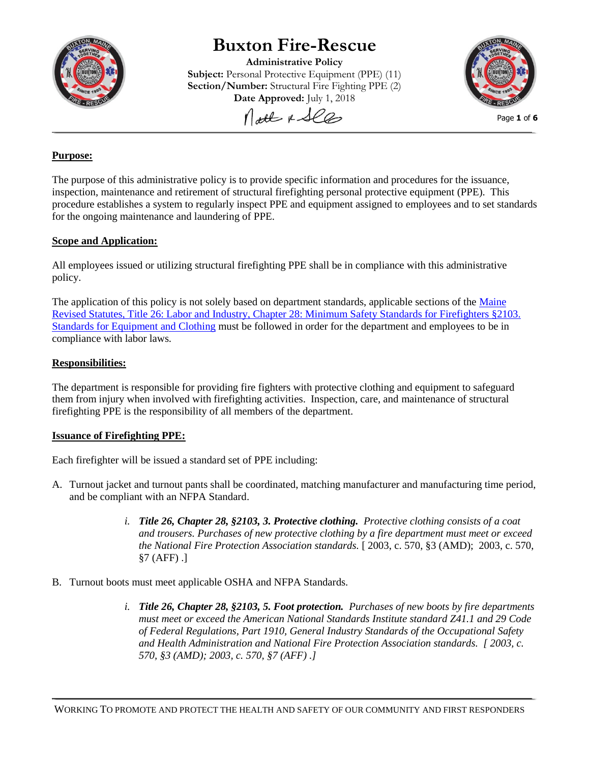

# **Buxton Fire-Rescue**

**Administrative Policy Subject:** Personal Protective Equipment (PPE) (11) **Section/Number:** Structural Fire Fighting PPE (2) **Date Approved:** July 1, 2018



Matt & See

#### Page **1** of **6**

# **Purpose:**

The purpose of this administrative policy is to provide specific information and procedures for the issuance, inspection, maintenance and retirement of structural firefighting personal protective equipment (PPE). This procedure establishes a system to regularly inspect PPE and equipment assigned to employees and to set standards for the ongoing maintenance and laundering of PPE.

# **Scope and Application:**

All employees issued or utilizing structural firefighting PPE shall be in compliance with this administrative policy.

The application of this policy is not solely based on department standards, applicable sections of the Maine [Revised Statutes, Title 26: Labor and Industry, Chapter 28: Minimum Safety Standards for Firefighters §2103.](http://legislature.maine.gov/statutes/26/title26sec2103.pdf)  [Standards for Equipment and Clothing](http://legislature.maine.gov/statutes/26/title26sec2103.pdf) must be followed in order for the department and employees to be in compliance with labor laws.

# **Responsibilities:**

The department is responsible for providing fire fighters with protective clothing and equipment to safeguard them from injury when involved with firefighting activities. Inspection, care, and maintenance of structural firefighting PPE is the responsibility of all members of the department.

## **Issuance of Firefighting PPE:**

Each firefighter will be issued a standard set of PPE including:

- A. Turnout jacket and turnout pants shall be coordinated, matching manufacturer and manufacturing time period, and be compliant with an NFPA Standard.
	- *i. Title 26, Chapter 28, §2103, 3. Protective clothing. Protective clothing consists of a coat and trousers. Purchases of new protective clothing by a fire department must meet or exceed the National Fire Protection Association standards.* [ 2003, c. 570, §3 (AMD); 2003, c. 570, §7 (AFF) .]
- B. Turnout boots must meet applicable OSHA and NFPA Standards.
	- *i. Title 26, Chapter 28, §2103, 5. Foot protection. Purchases of new boots by fire departments must meet or exceed the American National Standards Institute standard Z41.1 and 29 Code of Federal Regulations, Part 1910, General Industry Standards of the Occupational Safety and Health Administration and National Fire Protection Association standards. [ 2003, c. 570, §3 (AMD); 2003, c. 570, §7 (AFF) .]*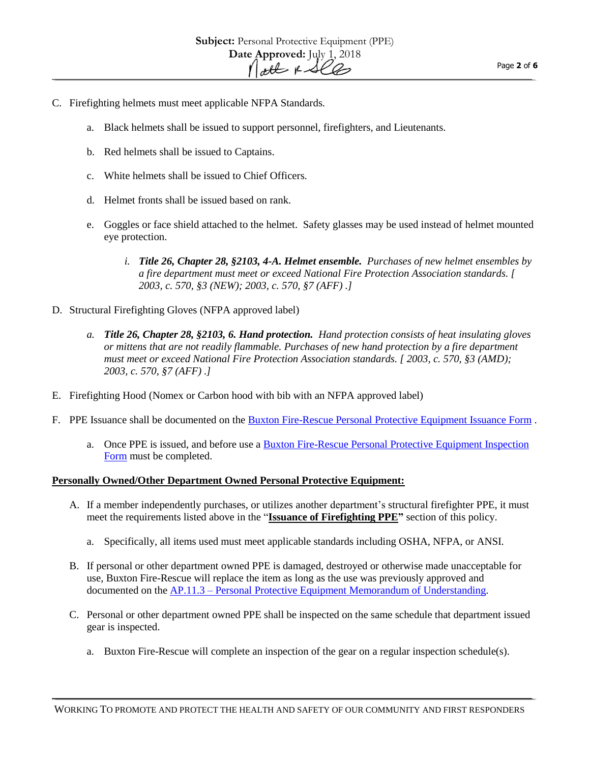- C. Firefighting helmets must meet applicable NFPA Standards.
	- a. Black helmets shall be issued to support personnel, firefighters, and Lieutenants.
	- b. Red helmets shall be issued to Captains.
	- c. White helmets shall be issued to Chief Officers.
	- d. Helmet fronts shall be issued based on rank.
	- e. Goggles or face shield attached to the helmet. Safety glasses may be used instead of helmet mounted eye protection.
		- *i. Title 26, Chapter 28, §2103, 4-A. Helmet ensemble. Purchases of new helmet ensembles by a fire department must meet or exceed National Fire Protection Association standards. [ 2003, c. 570, §3 (NEW); 2003, c. 570, §7 (AFF) .]*
- D. Structural Firefighting Gloves (NFPA approved label)
	- *a. Title 26, Chapter 28, §2103, 6. Hand protection. Hand protection consists of heat insulating gloves or mittens that are not readily flammable. Purchases of new hand protection by a fire department must meet or exceed National Fire Protection Association standards. [ 2003, c. 570, §3 (AMD); 2003, c. 570, §7 (AFF) .]*
- E. Firefighting Hood (Nomex or Carbon hood with bib with an NFPA approved label)
- F. PPE Issuance shall be documented on the [Buxton Fire-Rescue Personal Protective Equipment Issuance Form](http://buxtonfr.org/wp-content/uploads/2015/01/BFR-PPE-Issuance-Form.pdf) .
	- a. Once PPE is issued, and before use a [Buxton Fire-Rescue Personal Protective Equipment Inspection](http://buxtonfr.org/wp-content/uploads/2015/01/BFR-PPE-Issuance-Form.pdf)  [Form](http://buxtonfr.org/wp-content/uploads/2015/01/BFR-PPE-Issuance-Form.pdf) must be completed.

#### **Personally Owned/Other Department Owned Personal Protective Equipment:**

- A. If a member independently purchases, or utilizes another department's structural firefighter PPE, it must meet the requirements listed above in the "**Issuance of Firefighting PPE"** section of this policy.
	- a. Specifically, all items used must meet applicable standards including OSHA, NFPA, or ANSI.
- B. If personal or other department owned PPE is damaged, destroyed or otherwise made unacceptable for use, Buxton Fire-Rescue will replace the item as long as the use was previously approved and documented on the AP.11.3 – [Personal Protective Equipment Memorandum of Understanding.](file:///C:/Users/Chief%20Schools/Desktop/SOG%20in%20Progress/AP.11.3%20-%20Turnout%20Gear%20MOU%202018.pdf)
- C. Personal or other department owned PPE shall be inspected on the same schedule that department issued gear is inspected.
	- a. Buxton Fire-Rescue will complete an inspection of the gear on a regular inspection schedule(s).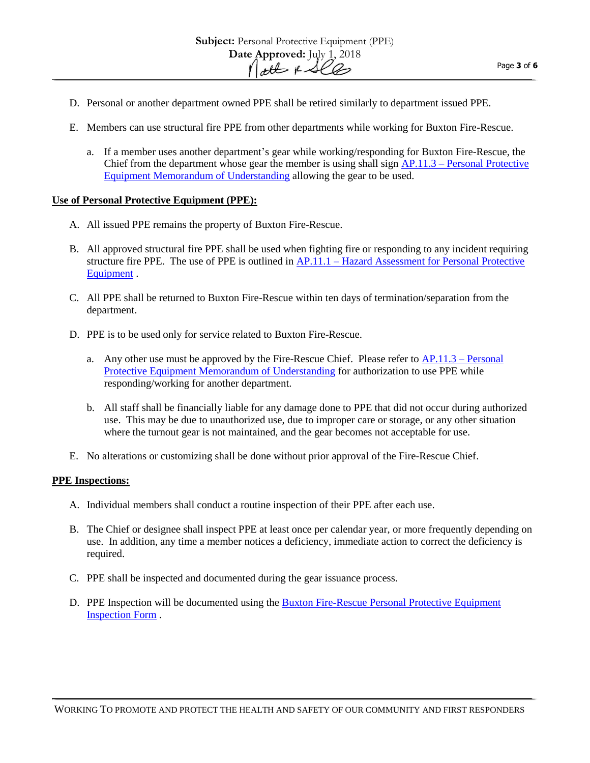- D. Personal or another department owned PPE shall be retired similarly to department issued PPE.
- E. Members can use structural fire PPE from other departments while working for Buxton Fire-Rescue.
	- a. If a member uses another department's gear while working/responding for Buxton Fire-Rescue, the Chief from the department whose gear the member is using shall sign AP.11.3 – Personal [Protective](AP.11.3%20-%20Turnout%20Gear%20MOU%202018.pdf)  [Equipment Memorandum of Understanding](AP.11.3%20-%20Turnout%20Gear%20MOU%202018.pdf) allowing the gear to be used.

## **Use of Personal Protective Equipment (PPE):**

- A. All issued PPE remains the property of Buxton Fire-Rescue.
- B. All approved structural fire PPE shall be used when fighting fire or responding to any incident requiring structure fire PPE. The use of PPE is outlined in AP.11.1 – [Hazard Assessment for Personal Protective](http://buxtonfr.org/wp-content/uploads/2017/06/AP.11.1-Hazard-Assessment-for-Personal-Protective-Equipment-2017-Signed-Scan.pdf)  [Equipment](http://buxtonfr.org/wp-content/uploads/2017/06/AP.11.1-Hazard-Assessment-for-Personal-Protective-Equipment-2017-Signed-Scan.pdf) .
- C. All PPE shall be returned to Buxton Fire-Rescue within ten days of termination/separation from the department.
- D. PPE is to be used only for service related to Buxton Fire-Rescue.
	- a. Any other use must be approved by the Fire-Rescue Chief. Please refer to  $AP.11.3 Personal$ [Protective Equipment Memorandum of Understanding](file:///C:/Users/Chief%20Schools/Desktop/SOG%20in%20Progress/AP.11.3%20-%20Turnout%20Gear%20MOU%202018.pdf) for authorization to use PPE while responding/working for another department.
	- b. All staff shall be financially liable for any damage done to PPE that did not occur during authorized use. This may be due to unauthorized use, due to improper care or storage, or any other situation where the turnout gear is not maintained, and the gear becomes not acceptable for use.
- E. No alterations or customizing shall be done without prior approval of the Fire-Rescue Chief.

## **PPE Inspections:**

- A. Individual members shall conduct a routine inspection of their PPE after each use.
- B. The Chief or designee shall inspect PPE at least once per calendar year, or more frequently depending on use. In addition, any time a member notices a deficiency, immediate action to correct the deficiency is required.
- C. PPE shall be inspected and documented during the gear issuance process.
- D. PPE Inspection will be documented using the [Buxton Fire-Rescue Personal Protective Equipment](http://buxtonfr.org/wp-content/uploads/2013/10/BFR-PPE-Inspection.pdf)  [Inspection Form](http://buxtonfr.org/wp-content/uploads/2013/10/BFR-PPE-Inspection.pdf) .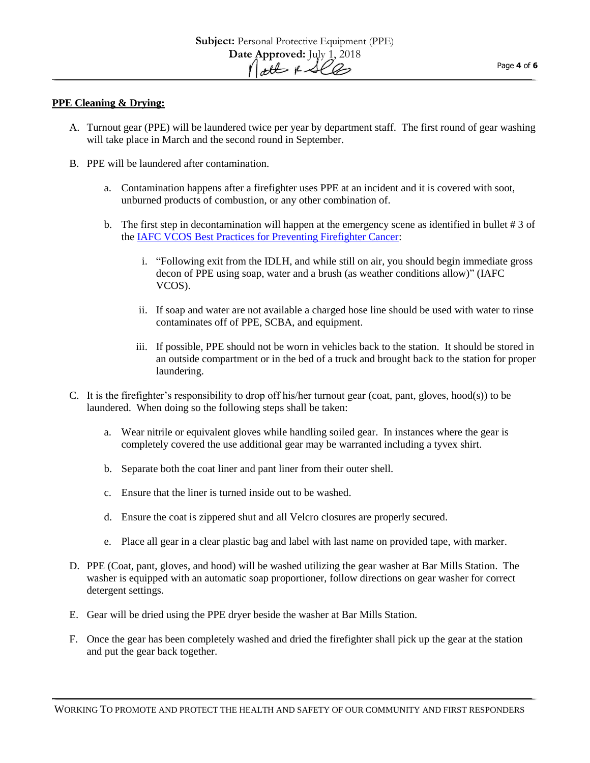#### **PPE Cleaning & Drying:**

- A. Turnout gear (PPE) will be laundered twice per year by department staff. The first round of gear washing will take place in March and the second round in September.
- B. PPE will be laundered after contamination.
	- a. Contamination happens after a firefighter uses PPE at an incident and it is covered with soot, unburned products of combustion, or any other combination of.
	- b. The first step in decontamination will happen at the emergency scene as identified in bullet # 3 of the [IAFC VCOS Best Practices for Preventing Firefighter Cancer:](https://www.nvfc.org/wp-content/uploads/2017/12/Preventing-Cancer-poster.pdf)
		- i. "Following exit from the IDLH, and while still on air, you should begin immediate gross decon of PPE using soap, water and a brush (as weather conditions allow)" (IAFC VCOS).
		- ii. If soap and water are not available a charged hose line should be used with water to rinse contaminates off of PPE, SCBA, and equipment.
		- iii. If possible, PPE should not be worn in vehicles back to the station. It should be stored in an outside compartment or in the bed of a truck and brought back to the station for proper laundering.
- C. It is the firefighter's responsibility to drop off his/her turnout gear (coat, pant, gloves, hood(s)) to be laundered. When doing so the following steps shall be taken:
	- a. Wear nitrile or equivalent gloves while handling soiled gear. In instances where the gear is completely covered the use additional gear may be warranted including a tyvex shirt.
	- b. Separate both the coat liner and pant liner from their outer shell.
	- c. Ensure that the liner is turned inside out to be washed.
	- d. Ensure the coat is zippered shut and all Velcro closures are properly secured.
	- e. Place all gear in a clear plastic bag and label with last name on provided tape, with marker.
- D. PPE (Coat, pant, gloves, and hood) will be washed utilizing the gear washer at Bar Mills Station. The washer is equipped with an automatic soap proportioner, follow directions on gear washer for correct detergent settings.
- E. Gear will be dried using the PPE dryer beside the washer at Bar Mills Station.
- F. Once the gear has been completely washed and dried the firefighter shall pick up the gear at the station and put the gear back together.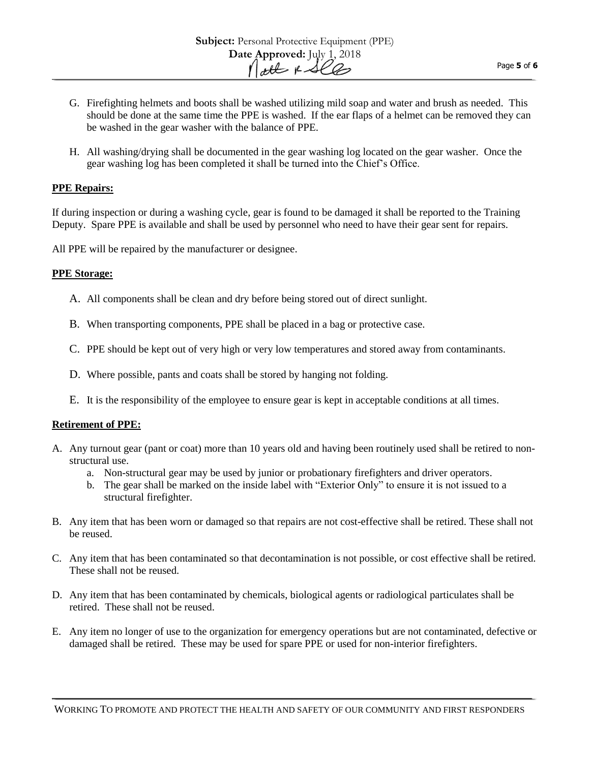H. All washing/drying shall be documented in the gear washing log located on the gear washer. Once the gear washing log has been completed it shall be turned into the Chief's Office.

# **PPE Repairs:**

If during inspection or during a washing cycle, gear is found to be damaged it shall be reported to the Training Deputy. Spare PPE is available and shall be used by personnel who need to have their gear sent for repairs.

All PPE will be repaired by the manufacturer or designee.

## **PPE Storage:**

- A. All components shall be clean and dry before being stored out of direct sunlight.
- B. When transporting components, PPE shall be placed in a bag or protective case.
- C. PPE should be kept out of very high or very low temperatures and stored away from contaminants.
- D. Where possible, pants and coats shall be stored by hanging not folding.
- E. It is the responsibility of the employee to ensure gear is kept in acceptable conditions at all times.

## **Retirement of PPE:**

- A. Any turnout gear (pant or coat) more than 10 years old and having been routinely used shall be retired to nonstructural use.
	- a. Non-structural gear may be used by junior or probationary firefighters and driver operators.
	- b. The gear shall be marked on the inside label with "Exterior Only" to ensure it is not issued to a structural firefighter.
- B. Any item that has been worn or damaged so that repairs are not cost-effective shall be retired. These shall not be reused.
- C. Any item that has been contaminated so that decontamination is not possible, or cost effective shall be retired. These shall not be reused.
- D. Any item that has been contaminated by chemicals, biological agents or radiological particulates shall be retired. These shall not be reused.
- E. Any item no longer of use to the organization for emergency operations but are not contaminated, defective or damaged shall be retired. These may be used for spare PPE or used for non-interior firefighters.